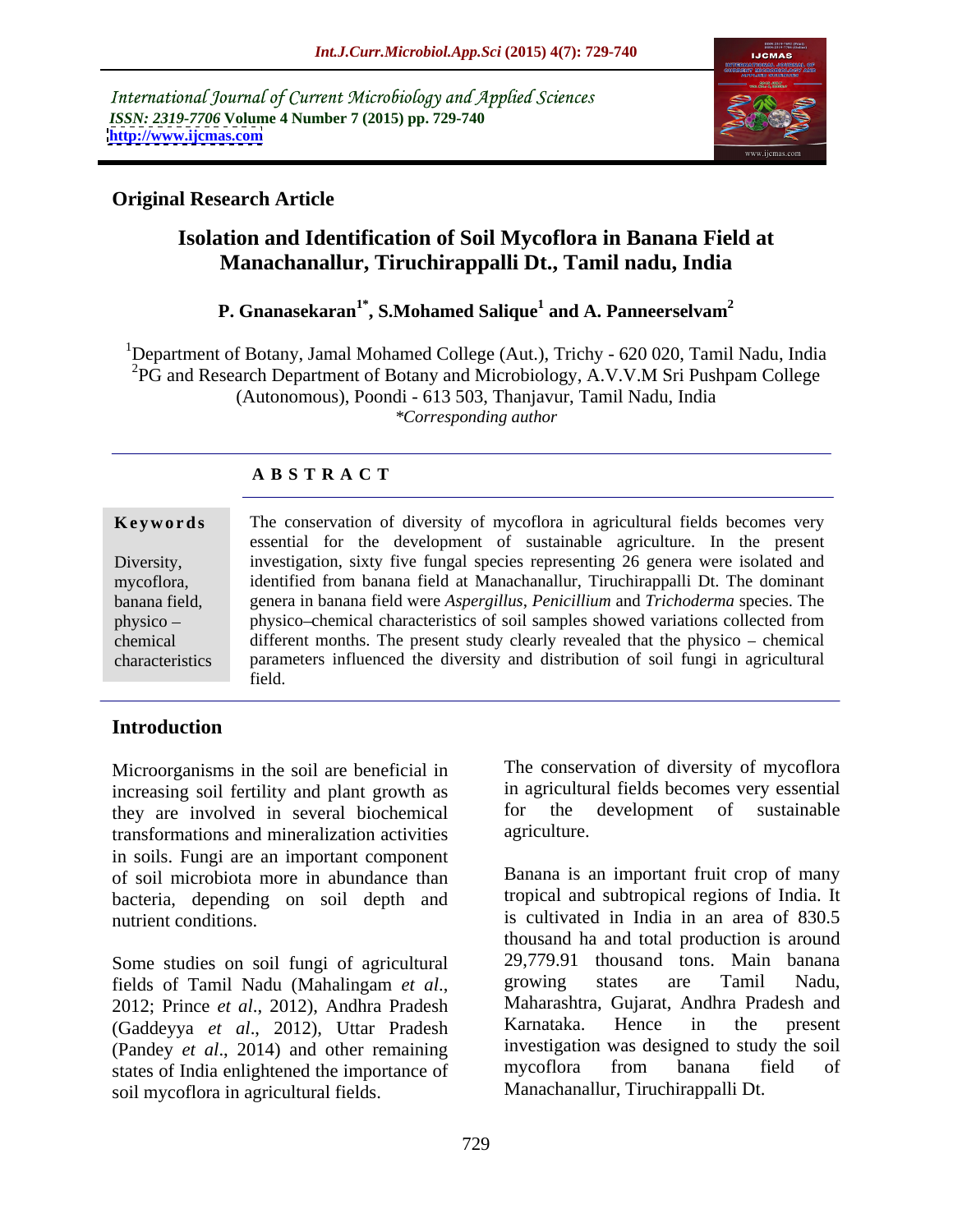International Journal of Current Microbiology and Applied Sciences *ISSN: 2319-7706* **Volume 4 Number 7 (2015) pp. 729-740 <http://www.ijcmas.com>**



# **Original Research Article**

# **Isolation and Identification of Soil Mycoflora in Banana Field at Manachanallur, Tiruchirappalli Dt., Tamil nadu, India**

### **P. Gnanasekaran1\* , S.Mohamed Salique<sup>1</sup> and A. Panneerselvam<sup>2</sup>**

1Department of Botany, Jamal Mohamed College (Aut.), Trichy - 620 020, Tamil Nadu, India <sup>2</sup>PG and Research Department of Botany and Microbiology, A.V.V.M Sri Pushpam College (Autonomous), Poondi - 613 503, Thanjavur, Tamil Nadu, India *\*Corresponding author*

# **A B S T R A C T**

characteristics

**Keywords** The conservation of diversity of mycoflora in agricultural fields becomes very essential for the development of sustainable agriculture. In the present Diversity, investigation, sixty five fungal species representing 26 genera were isolated and identified from banana field at Manachanallur, Tiruchirappalli Dt. The dominant mycoflora, genera in banana field were *Aspergillus*, *Penicillium* and *Trichoderma* species. The banana field, physico – physico–chemical characteristics of soil samples showed variations collected from chemical different months. The present study clearly revealed that the physico – chemical parameters influenced the diversity and distribution of soil fungi in agricultural field.

# **Introduction**

Microorganisms in the soil are beneficial in increasing soil fertility and plant growth as in agricultural fields becomes very essential<br>they are involved in several biochemical for the development of sustainable they are involved in several biochemical for the transformations and mineralization activities agriculture. transformations and mineralization activities in soils. Fungi are an important component of soil microbiota more in abundance than bacteria, depending on soil depth and

Some studies on soil fungi of agricultural 29,779.91 thousand tons. Main banana<br>
fields of Tamil Nadu (Mahalingam et al. in growing states are Tamil Nadu, (Gaddeyya *et al*., 2012), Uttar Pradesh (Pandey *et al.*, 2014) and other remaining investigation was designed to study the soil<br>states of India enlightened the importance of mycoflora from banana field of states of India enlightened the importance of soil mycoflora in agricultural fields.

The conservation of diversity of mycoflora in agricultural fields becomes very essential for the development of sustainable agriculture.

nutrient conditions. The is cultivated in India in an area of 830.5 fields of Tamil Nadu (Mahalingam *et al*., 2012; Prince *et al*., 2012), Andhra Pradesh Banana is an important fruit crop of many tropical and subtropical regions of India. It thousand ha and total production is around 29,779.91 thousand tons. Main banana growing states are Tamil Nadu, Maharashtra, Gujarat, Andhra Pradesh and Karnataka. Hence in the present investigation was designed to study the soil mycoflora from banana field of Manachanallur, Tiruchirappalli Dt.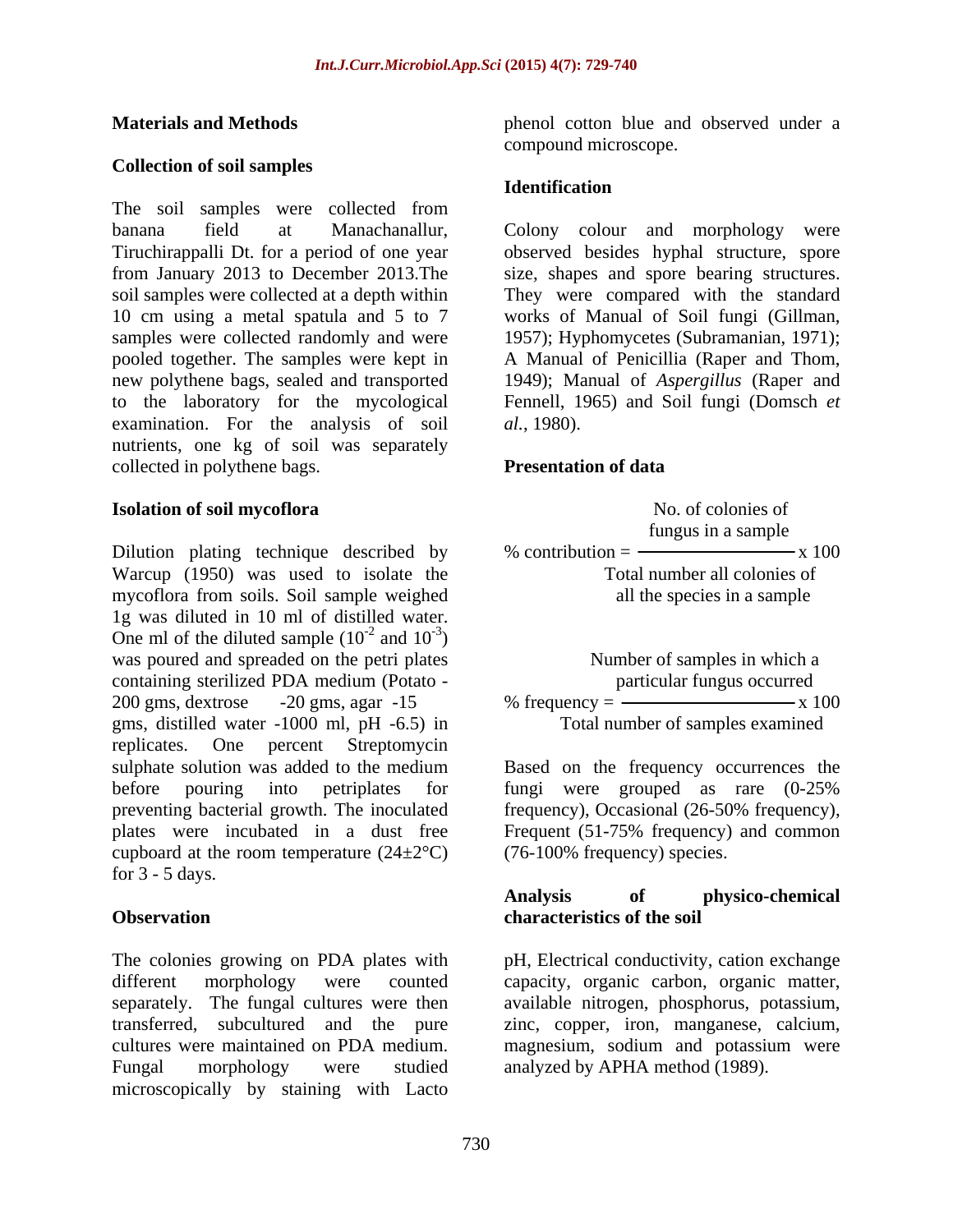## **Collection of soil samples**

The soil samples were collected from pooled together. The samples were kept in A Manual of Penicillia (Raper and Thom, new polythene bags, sealed and transported 1949); Manual of Aspergillus (Raper and to the laboratory for the mycological examination. For the analysis of soil al., 1980). nutrients, one kg of soil was separately collected in polythene bags. **Presentation of data** 

Dilution plating technique described by  $\%$  contribution =  $\frac{\ }{\ }$  x 100 Warcup (1950) was used to isolate the mycoflora from soils. Soil sample weighed 1g was diluted in 10 ml of distilled water. One ml of the diluted sample  $(10^{-2}$  and  $10^{-3})$  $-2$  and  $10^{-3}$ ) and  $10^{-3}$ )  $-3\sqrt{ }$ ) and the contract of  $\mathcal{L}$ was poured and spreaded on the petri plates containing sterilized PDA medium (Potato - 200 gms, dextrose -20 gms, agar -15 % frequency =  $\frac{100}{x}$  x 100 gms, distilled water -1000 ml, pH -6.5) in replicates. One percent Streptomycin sulphate solution was added to the medium Based on the frequency occurrences the before pouring into petriplates for fungi were grouped as rare (0-25% preventing bacterial growth. The inoculated frequency), Occasional (26-50% frequency), plates were incubated in a dust free Frequent (51-75% frequency) and common cupboard at the room temperature  $(24\pm2^{\circ}\text{C})$ for  $3 - 5$  days.

The colonies growing on PDA plates with pH, Electrical conductivity, cation exchange different morphology were counted capacity, organic carbon, organic matter, separately. The fungal cultures were then available nitrogen, phosphorus, potassium, transferred, subcultured and the pure zinc, copper, iron, manganese, calcium, cultures were maintained on PDA medium. magnesium, sodium and potassium were Fungal morphology were studied analyzed by APHA method (1989).microscopically by staining with Lacto

**Materials and Methods** phenol cotton blue and observed under a compound microscope.

## **Identification**

banana field at Manachanallur, Colony colour and morphology were Tiruchirappalli Dt. for a period of one year observed besides hyphal structure, spore from January 2013 to December 2013.The size, shapes and spore bearing structures. soil samples were collected at a depth within They were compared with the standard 10 cm using a metal spatula and 5 to 7 works of Manual of Soil fungi (Gillman, samples were collected randomly and were 1957); Hyphomycetes (Subramanian, 1971); <sup>A</sup> Manual of Penicillia (Raper and Thom, 1949); Manual of *Aspergillus* (Raper and Fennell, 1965) and Soil fungi (Domsch *et al.*, 1980).

## **Presentation of data**

**Isolation of soil mycoflora and a set of solution of soil mycoflora a**  No. of colonies of fungus in a sample % contribution  $=$   $-$  Total number all colonies of all the species in a sample

> Number of samples in which a particular fungus occurred % frequency  $=$   $\frac{\text{m}}{\text{s}}$  100 Total number of samples examined

(76-100% frequency) species.

### **Observation Conservation Conservation Conservation Conservation Conservation Conservation Conservation Analysis of physico-chemical characteristics of the soil**

magnesium, sodium and potassium were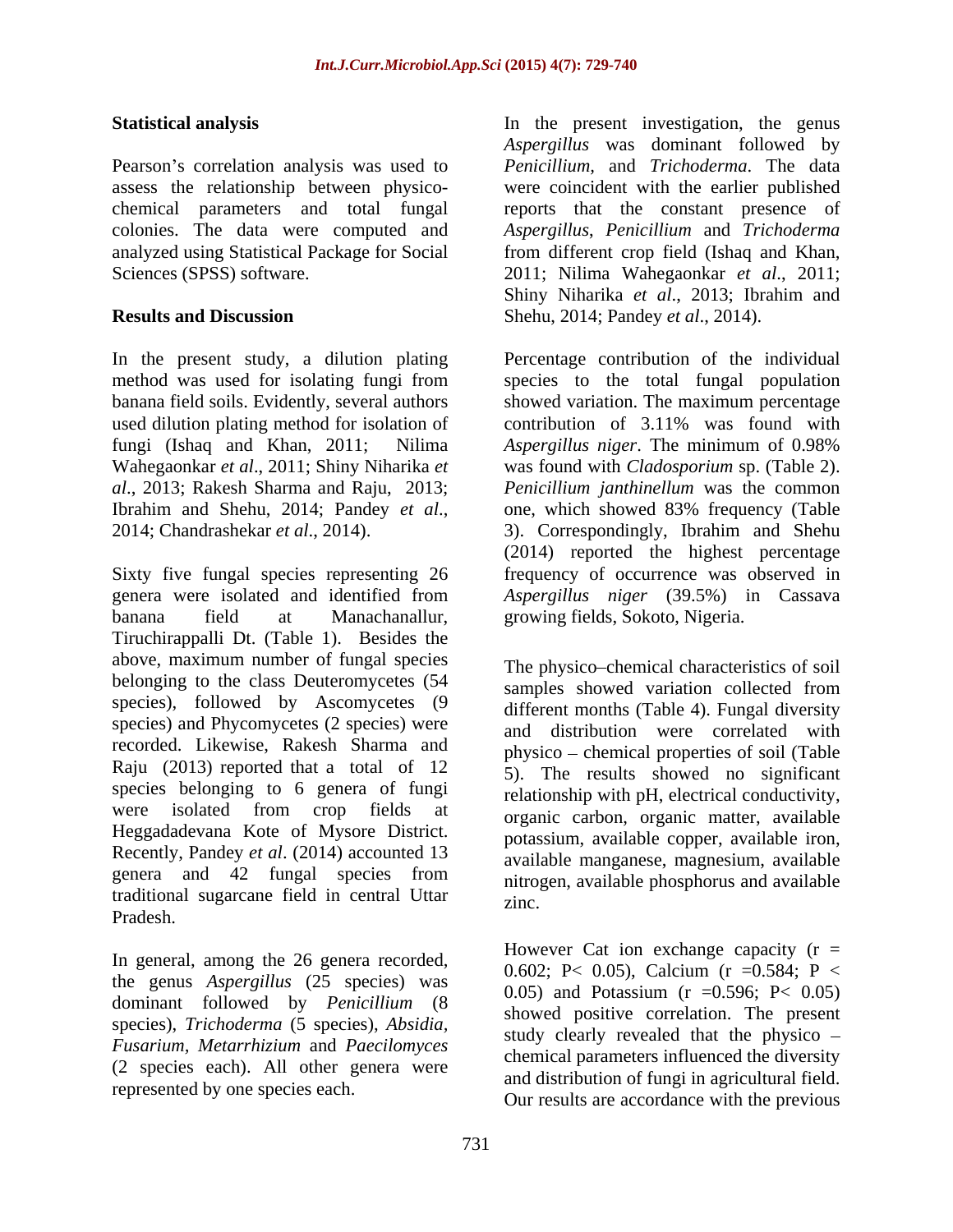Pearson's correlation analysis was used to colonies. The data were computed and

used dilution plating method for isolation of contribution of 3.11% was found with fungi (Ishaq and Khan, 2011; Nilima Aspergillus niger. The minimum of 0.98%

Sixty five fungal species representing 26 frequency of occurrence was observed in genera were isolated and identified from *Aspergillus niger* (39.5%) in Cassava banana field at Manachanallur, growing fields, Sokoto, Nigeria. Tiruchirappalli Dt. (Table 1). Besides the above, maximum number of fungal species belonging to the class Deuteromycetes (54) species), followed by Ascomycetes (9 species) and Phycomycetes (2 species) were recorded. Likewise, Rakesh Sharma and Raju (2013) reported that a total of 12 species belonging to 6 genera of fungi were isolated from crop fields at Heggadadevana Kote of Mysore District. Recently, Pandey *et al*. (2014) accounted 13 genera and 42 fungal species from  $\frac{1}{n}$  introgen available phosphorus and available traditional sugarcane field in central Uttar Pradesh.

In general, among the 26 genera recorded, the genus *Aspergillus* (25 species) was dominant followed by *Penicillium* (8 species), *Trichoderma* (5 species), *Absidia, Fusarium, Metarrhizium* and *Paecilomyces* (2 species each). All other genera were represented by one species each.

**Statistical analysis** In the present investigation, the genus assess the relationship between physico- were coincident with the earlier published chemical parameters and total fungal reports that the constant presence of analyzed using Statistical Package for Social from different crop field (Ishaq and Khan, Sciences (SPSS) software. 2011; Nilima Wahegaonkar *et al*., 2011; **Results and Discussion** Shehu, 2014; Pandey *et al*., 2014). *Aspergillus* was dominant followed by *Penicillium,* and *Trichoderma*. The data *Aspergillus*, *Penicillium* and *Trichoderma* Shiny Niharika *et al*., 2013; Ibrahim and

In the present study, a dilution plating Percentage contribution of the individual method was used for isolating fungi from banana field soils. Evidently, several authors showed variation. The maximum percentage Wahegaonkar *et al*., 2011; Shiny Niharika *et*  was found with *Cladosporium* sp. (Table 2). *al*., 2013; Rakesh Sharma and Raju, 2013; *Penicillium janthinellum* was the common Ibrahim and Shehu, 2014; Pandey *et al*., 2014; Chandrashekar *et al*., 2014). species to the total fungal population contribution of 3.11% was found with *Aspergillus niger*. The minimum of 0.98% one, which showed 83% frequency (Table 3). Correspondingly, Ibrahim and Shehu (2014) reported the highest percentage

> The physico-chemical characteristics of soil samples showed variation collected from different months (Table 4). Fungal diversity and distribution were correlated with physico chemical properties of soil (Table 5). The results showed no significant relationship with pH, electrical conductivity, organic carbon, organic matter, available potassium, available copper, available iron, available manganese, magnesium, available nitrogen, available phosphorus and available zinc.

However Cat ion exchange capacity  $(r =$ 0.602; P< 0.05), Calcium (r =0.584; P < 0.05) and Potassium (r =0.596; P< 0.05) showed positive correlation. The present study clearly revealed that the physico chemical parameters influenced the diversity and distribution of fungi in agricultural field. Our results are accordance with the previous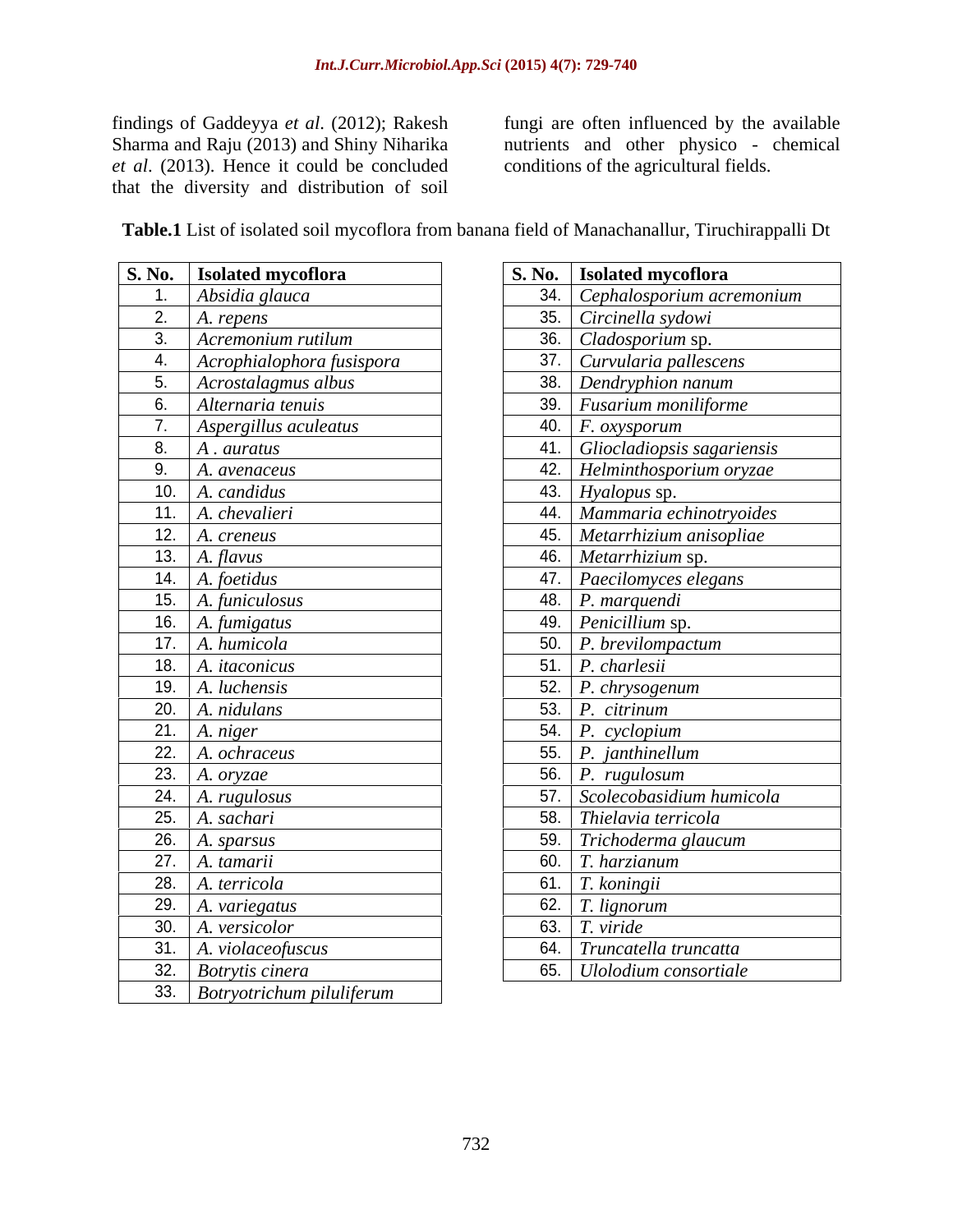findings of Gaddeyya *et al*. (2012); Rakesh Sharma and Raju (2013) and Shiny Niharika *et al.* (2013). Hence it could be concluded conditions of the agricultural fields. that the diversity and distribution of soil

fungi are often influenced by the available nutrients and other physico - chemical conditions of the agricultural fields.

| S. No.   Isolated mycoflora             | S. No.   Isolated mycoflora            |
|-----------------------------------------|----------------------------------------|
| Absidia glauca                          | 34. Cephalosporium acremonium          |
| 2. $A.$ repens                          | 35. Circinella sydowi                  |
| 3. Acremonium rutilum                   | 36. Cladosporium sp.                   |
| $\vert$ Acrophialophora fusispora<br>4. | 37. Curvularia pallescens              |
| 5. Acrostalagmus albus                  | 38. Dendryphion nanum                  |
| 6. Alternaria tenuis                    | 39. Fusarium moniliforme               |
| 7. Aspergillus aculeatus                | 40.   $F.$ oxysporum                   |
| 8. A. auratus                           | 41. Gliocladiopsis sagariensis         |
| 9. $A.$ avenaceus                       | 42. Helminthosporium oryzae            |
| 10. $A.$ candidus                       | 43. <i>Hyalopus</i> sp.                |
| 11. A. chevalieri                       | 44. Mammaria echinotryoides            |
| 12. $A.$ creneus                        | 45. Metarrhizium anisopliae            |
| 13. $A. \text{flux}$                    | 46. Metarrhizium sp.                   |
| 14. $A.$ foetidus                       | $\overline{47.}$ Paecilomyces elegans  |
| 15. $\big $ A. funiculosus              | 48. $\vert$ P. marquendi               |
| 16. $A. f$ <i>umigatus</i>              | 49. Penicillium sp.                    |
| 17. $A. humicola$                       | 50. P. brevilompactum                  |
| 18. $A. it a conicus$                   | 51. $\vert P.$ charlesii               |
| 19. $A.$ luchensis                      | 52. P. chrysogenum                     |
| 20. $A.~nidulans$                       | 53. $P.$ citrinum                      |
| 21. $A. niger$                          | 54. $P. cyclopium$                     |
| 22. $A. ochraceus$                      | 55. $\boxed{P}$ . janthinellum         |
| 23.   A. oryzae                         | 56. $\vert P. \text{ rugulosum} \vert$ |
| 24. $A. rugulosus$                      | 57. Scolecobasidium humicola           |
| 25. $A.$ sachari                        | 58. Thielavia terricola                |
| 26. A. sparsus                          | 59. Trichoderma glaucum                |
| 27. A. tamarii                          | $\boxed{60}$ . T. harzianum            |
| 28. $A. 1 = 28$                         | 61. $T.$ koningii                      |
| 29. $\vert$ A. variegatus               | 62. $T.$ lignorum                      |
| 30. $\vert$ A. versicolor               | 63. $T. viride$                        |
| 31. $\vert$ A. violace of uscus         | 64. Truncatella truncatta              |
| 32. Botrytis cinera                     | 65. Ulolodium consortiale              |
| 33. Botryotrichum piluliferum           |                                        |

| S. No.   Isolated mycoflora         | S. No.   Isolated mycoflora            |
|-------------------------------------|----------------------------------------|
| Absidia glauca                      | 34. Cephalosporium acremonium          |
| A. repens                           | 35. Circinella sydowi                  |
| Acremonium rutilum<br>$\mathcal{R}$ | 36. <i>Cladosporium</i> sp.            |
| Acrophialophora fusispora           | 37. Curvularia pallescens              |
| 5. Acrostalagmus albus              | 38. Dendryphion nanum                  |
| Alternaria tenuis<br>- 6.           | 39. Fusarium moniliforme               |
| Aspergillus aculeatus               | 40. $\mid$ F. oxysporum                |
| A. auratus                          | 41. Gliocladiopsis sagariensis         |
| Q<br>A. avenaceus                   | 42. Helminthosporium oryzae            |
| 10. $A.$ candidus                   | 43. Hyalopus sp.                       |
| 11. $A.$ <i>chevalieri</i>          | 44. Mammaria echinotryoides            |
| 12. $A.$ creneus                    | 45. Metarrhizium anisopliae            |
| 13. $A$ . flavus                    | 46. Metarrhizium sp.                   |
| 14. A. foetidus                     | 47. Paecilomyces elegans               |
| 15. $A.$ funiculosus                | 48. $P.$ marquendi                     |
| 16. $A. f$ <i>umigatus</i>          | 49. Penicillium sp.                    |
| 17. $A. humicola$                   | 50. $\big $ <i>P. brevilompactum</i>   |
| 18. A. <i>itaconicus</i>            | 51. $P. charlesii$                     |
| 19. $A.$ luchensis                  | 52. $P. chrysogenum$                   |
| $\overline{20}$ .   A. nidulans     | 53. $P.$ citrinum                      |
| 21. $A. niger$                      | 54. $P. cyclopium$                     |
| 22. $A. ochraceus$                  | 55. $\vert P.$ janthinellum            |
| 23. $A.$ <i>oryzae</i>              | 56. $\vert P. \text{ rugulosum} \vert$ |
| $\overline{24}$ . A. rugulosus      | 57. Scolecobasidium humicola           |
| $\boxed{25}$ A. sachari             | 58. Thielavia terricola                |
| $\boxed{26}$ A. sparsus             | 59. Trichoderma glaucum                |
| 27. $\vert$ A. tamarii              | 60. $\boxed{T}$ . harzianum            |
| 28. $A. 1$ A. <i>A.</i> terricola   | 61. $T.$ koningii                      |
| 29. A. variegatus                   | 62. $T.$ lignorum                      |
| 30. $A. versicolor$                 | 63. $T. viride$                        |
| 31. $A. violaceofuscus$             | 64. Truncatella truncatta              |
| 32. Botrytis cinera                 | 65. Ulolodium consortiale              |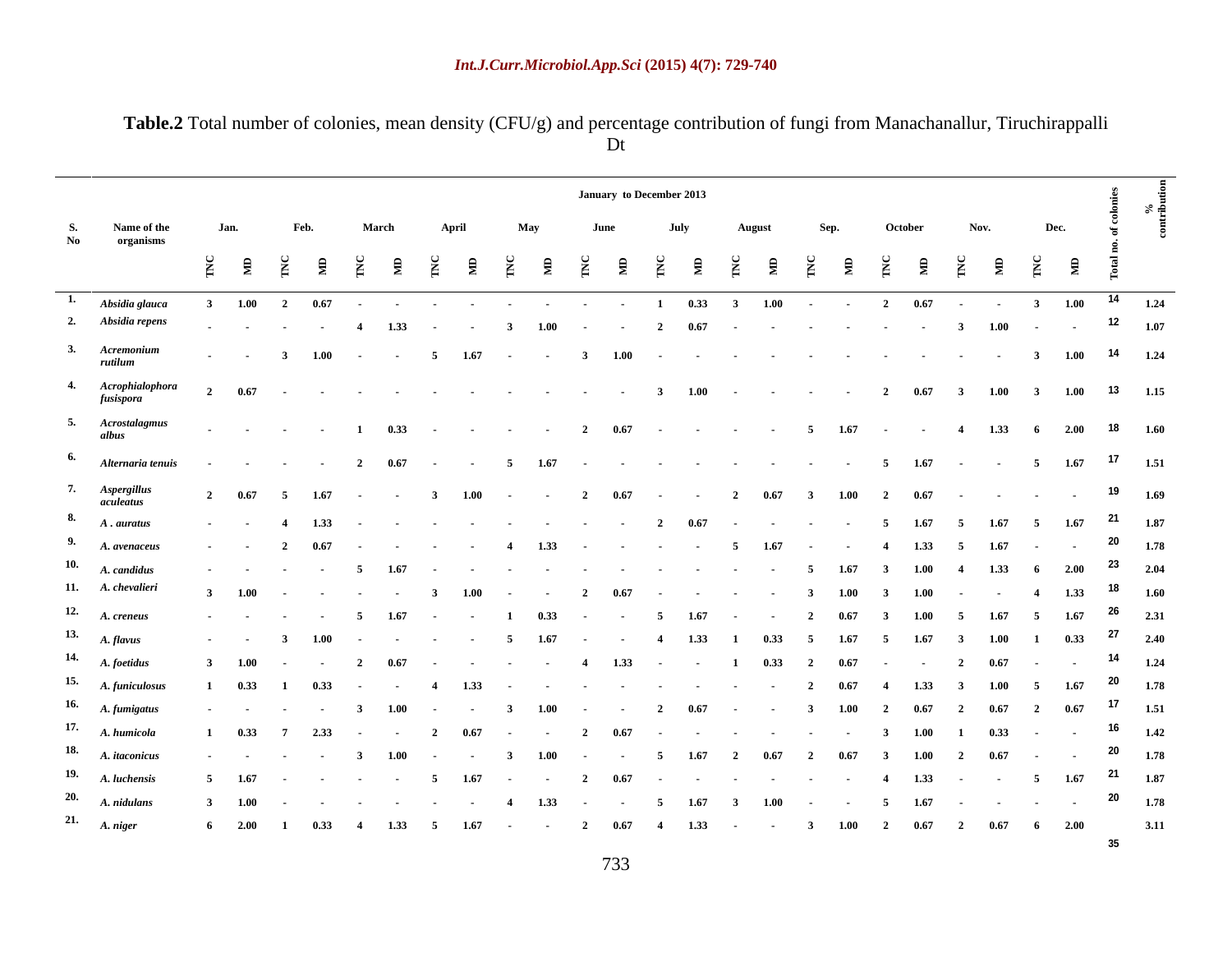**Table.2** Total number of colonies, mean density (CFU/g) and percentage contribution of fungi from Manachanallur, Tiruchirappalli Dt

|                   |                                                                                                                                                                                                                                |                                                                                                                                                                                                                              |  | January to December 2013 |  |  |  |  |
|-------------------|--------------------------------------------------------------------------------------------------------------------------------------------------------------------------------------------------------------------------------|------------------------------------------------------------------------------------------------------------------------------------------------------------------------------------------------------------------------------|--|--------------------------|--|--|--|--|
|                   |                                                                                                                                                                                                                                |                                                                                                                                                                                                                              |  |                          |  |  |  |  |
| No organisms      |                                                                                                                                                                                                                                |                                                                                                                                                                                                                              |  |                          |  |  |  |  |
|                   |                                                                                                                                                                                                                                |                                                                                                                                                                                                                              |  |                          |  |  |  |  |
|                   | Absidia glauca 3 1.00 2 0.67 contracts and the contracts of the contracts of the contracts of the contracts of the contracts of the contracts of the contracts of the contracts of the contracts of the contracts of the contr |                                                                                                                                                                                                                              |  |                          |  |  |  |  |
|                   |                                                                                                                                                                                                                                | 4 1.33 - - 3 1.00 - - 2 0.67 - - - - - - - 3 1.00 - - <sup>12</sup> 1.07                                                                                                                                                     |  |                          |  |  |  |  |
|                   | 4 1.00 - 5 1.67 - 3 1.00 - - - - - - - - - - - 3 1.00 14 1.24                                                                                                                                                                  |                                                                                                                                                                                                                              |  |                          |  |  |  |  |
|                   | 0.67                                                                                                                                                                                                                           | 1.15 and 2 and 3 and 3 and 4 and 4 and 4 and 4 and 4 and 4 and 4 and 4 and 4 and 4 and 4 and 4 and 4 and 4 and 4 and 4 and 4 and 4 and 4 and 4 and 4 and 4 and 4 and 4 and 4 and 4 and 4 and 4 and 4 and 4 and 4 and 4 and 4 |  |                          |  |  |  |  |
|                   | 4 1.33 6 2.00 18 1.60                                                                                                                                                                                                          |                                                                                                                                                                                                                              |  |                          |  |  |  |  |
|                   |                                                                                                                                                                                                                                |                                                                                                                                                                                                                              |  |                          |  |  |  |  |
|                   | Alternaria tenuis - - - 2 0.67 - 5 1.67 - - - - - - - - 5 1.67 - - 5 1.67 <sup>17</sup> 1.51                                                                                                                                   |                                                                                                                                                                                                                              |  |                          |  |  |  |  |
|                   | 2 $0.67$ 5 $1.67$ - 3 $1.00$ - 2 $0.67$ - 2 $0.67$ 3 $1.00$ 2 $0.67$ - - - - - 19 $1.69$                                                                                                                                       |                                                                                                                                                                                                                              |  |                          |  |  |  |  |
|                   | 8. A. auratus 19. 1.33 2 0.67 5 1.67 5 1.67 5 1.67 21 1.87                                                                                                                                                                     |                                                                                                                                                                                                                              |  |                          |  |  |  |  |
|                   | 9. A. avenaceus - 2 0.67 - - - 4 1.33 - - - - 5 1.67 - - 4 1.33 5 1.67 - - <sup>20</sup> 1.78                                                                                                                                  |                                                                                                                                                                                                                              |  |                          |  |  |  |  |
| 11. A. chevalieri | 3 1.00 - - - - 3 1.00 - - 2 0.67 - - - - - 3 1.00 3 1.00 - - 4 1.33 <sup>18</sup> 1.60                                                                                                                                         |                                                                                                                                                                                                                              |  |                          |  |  |  |  |
|                   | 12. A. creneus 5 1.67 1 0.33 5 1.67 2 0.67 3 1.00 5 1.67 5 1.67 $^{26}$ 2.31                                                                                                                                                   |                                                                                                                                                                                                                              |  |                          |  |  |  |  |
|                   | 13. A. flavus - - 3 1.00 - - - - 5 1.67 - - 4 1.33 1 0.33 5 1.67 5 1.67 3 1.00 1 0.33 <sup>27</sup> 2.40                                                                                                                       |                                                                                                                                                                                                                              |  |                          |  |  |  |  |
|                   | $14.$ A. foetidus $3$ $1.00$ $1.24$ $1.33$ $1.33$ $1.33$ $1.33$ $1.33$ $1.33$ $1.33$ $1.33$ $1.33$ $1.33$ $1.33$ $1.33$ $1.33$ $1.33$ $1.33$ $1.33$ $1.33$ $1.33$ $1.33$ $1.33$ $1.33$ $1.33$ $1.33$ $1.33$ $1.33$ $1.33$ $1.$ |                                                                                                                                                                                                                              |  |                          |  |  |  |  |
|                   | 15. A. funiculosus 1 0.33 1 0.33 - - 4 1.33 - - - - - - - - - 2 0.67 4 1.33 3 1.00 5 1.67 <sup>20</sup> 1.78                                                                                                                   |                                                                                                                                                                                                                              |  |                          |  |  |  |  |
|                   | 16. A. fumigatus 1. 1. 1.51 $\frac{100}{2}$ 1.00 $\frac{100}{2}$ 1.00 $\frac{100}{2}$ 1.51 $\frac{100}{2}$ 1.51 $\frac{100}{2}$ 1.57 $\frac{200}{2}$ 1.67 $\frac{200}{2}$ 1.57 $\frac{17}{1.51}$                               |                                                                                                                                                                                                                              |  |                          |  |  |  |  |
|                   | 17. A. humicola 1 0.33 7 2.33 - - 2 0.67 - - 2 0.67 - - - - - - 3 1.00 1 0.33 - - <sup>16</sup> 1.42<br>18. A. itaconicus - - - - 3 1.00 - - 3 1.00 - - 5 1.67 2 0.67 2 0.67 3 1.00 2 0.67 - - <sup>20</sup> 1.78              |                                                                                                                                                                                                                              |  |                          |  |  |  |  |
|                   | 19. A. luchensis 5 1.67 - - - - 5 1.67 - - - 2 0.67 - - - - - - - - - 4 1.33 - - 5 1.67 $^{21}$ 1.87                                                                                                                           |                                                                                                                                                                                                                              |  |                          |  |  |  |  |
|                   | 20. A. nidulans 3 1.00 - - - - - - 4 1.33 - - 5 1.67 3 1.00 - - 5 1.67 - - - - 20 1.78                                                                                                                                         |                                                                                                                                                                                                                              |  |                          |  |  |  |  |
|                   | 21. A. niger 6 2.00 1 0.33 4 1.33 5 1.67 - - 2 0.67 4 1.33 - - 3 1.00 2 0.67 6 2.00 3.11                                                                                                                                       |                                                                                                                                                                                                                              |  |                          |  |  |  |  |

**35**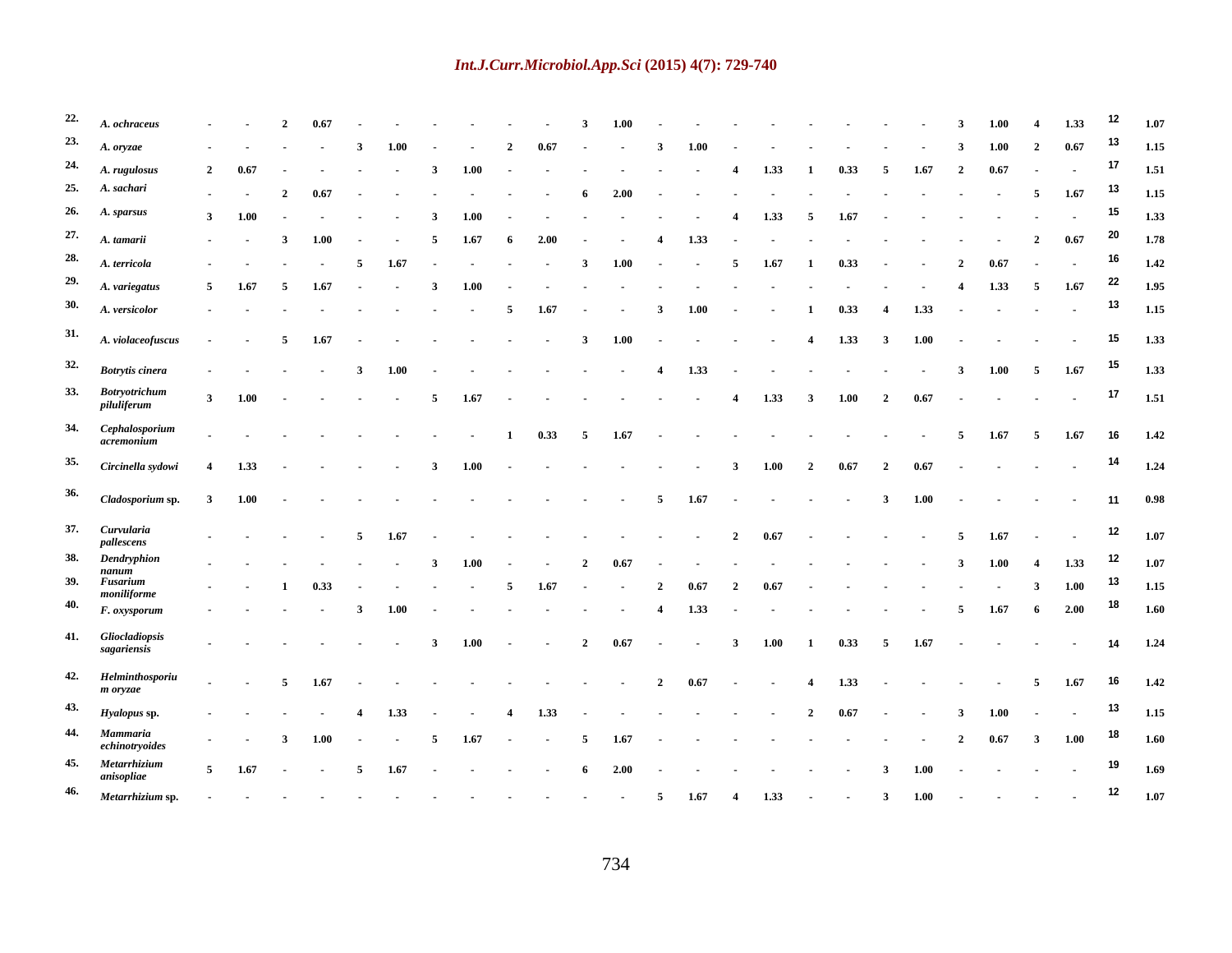### *Int.J.Curr.Microbiol.App.Sci* **(2015) 4(7): 729-740**

| 22. A. ochraceus                                                                                                                                                                                                               | 2 0.67 - - - - - 3 1.00 - - - - - - - - - 3 1.00 - - - - 3 1.00 - - - - 3 1.00 - - - 3 1.00 - - - 3 1.00 - - - - 3 1.00 - - - - 3 1.00 - - - - 3 1.00 - - - - - 3 1.00 - - - - 3 1.00 - - - - 3 1.00 - - - - - 3 1.00 - - - -                                                                             |  |  |  |  |  |  |  |  |  |  |  |  |                                                                                                                   |
|--------------------------------------------------------------------------------------------------------------------------------------------------------------------------------------------------------------------------------|-----------------------------------------------------------------------------------------------------------------------------------------------------------------------------------------------------------------------------------------------------------------------------------------------------------|--|--|--|--|--|--|--|--|--|--|--|--|-------------------------------------------------------------------------------------------------------------------|
| 23. $A. or vzae$                                                                                                                                                                                                               | $\frac{1}{2}$ 1.00 $\frac{1}{2}$ 1.00 $\frac{1}{2}$ 1.00 $\frac{1}{2}$ 1.00 $\frac{1}{2}$ 1.100 $\frac{1}{2}$ 1.15                                                                                                                                                                                        |  |  |  |  |  |  |  |  |  |  |  |  |                                                                                                                   |
| 24. $A. rugulosus$                                                                                                                                                                                                             | 2  0.67  -  -  -  3  1.00  -  -  -  -  -  4  1.33  1  0.33  5  1.67  2  0.67  -  - <sup>17</sup> 1.51                                                                                                                                                                                                     |  |  |  |  |  |  |  |  |  |  |  |  |                                                                                                                   |
| 25. A. sachari                                                                                                                                                                                                                 | $\frac{2}{5}$ 0.67 $\frac{15}{115}$ 0.67 $\frac{2}{115}$ 0.67 $\frac{1}{115}$ 0.82 $\frac{200}{115}$ 0.92 $\frac{1}{115}$ 0.82 $\frac{1}{115}$ 0.82 $\frac{1}{115}$ 0.82 $\frac{1}{115}$ 0.82 $\frac{1}{115}$ 0.82 $\frac{1}{115}$ 0.82 $\frac{1}{115}$ 0.82 $\frac{1}{115}$ 0.82                         |  |  |  |  |  |  |  |  |  |  |  |  |                                                                                                                   |
| 26. A. sparsus                                                                                                                                                                                                                 | 3 1.00 - - - - 3 1.00 - - - - - - - 4 1.33 5 1.67 - - - - - - - - <sup>15</sup> 1.33                                                                                                                                                                                                                      |  |  |  |  |  |  |  |  |  |  |  |  |                                                                                                                   |
| 27. $A. tamarii$                                                                                                                                                                                                               | $\frac{1}{2}$ 3 1.00 - 5 1.67 6 2.00 - - 4 1.33 - - - - - - - - - 2 0.67 <sup>20</sup> 1.78                                                                                                                                                                                                               |  |  |  |  |  |  |  |  |  |  |  |  |                                                                                                                   |
| 28. A. terricola                                                                                                                                                                                                               | $\frac{1}{2}$ , $\frac{1}{2}$ , $\frac{1}{2}$ , $\frac{1}{2}$ , $\frac{1}{2}$ , $\frac{1}{2}$ , $\frac{1}{2}$ , $\frac{1}{2}$ , $\frac{1}{2}$ , $\frac{1}{2}$ , $\frac{1}{2}$ , $\frac{1}{2}$ , $\frac{1}{2}$ , $\frac{1}{2}$ , $\frac{1}{2}$ , $\frac{1}{2}$ , $\frac{1}{2}$ , $\frac{1}{2}$ , $\frac{1$ |  |  |  |  |  |  |  |  |  |  |  |  |                                                                                                                   |
| 29. $A. variegatus$                                                                                                                                                                                                            | 5 1.67 5 1.67 - 3 1.00 - - - - - - - - - - - - - 4 1.33 5 1.67 $^{22}$ 1.95                                                                                                                                                                                                                               |  |  |  |  |  |  |  |  |  |  |  |  |                                                                                                                   |
| 30. $A. versionor$                                                                                                                                                                                                             | $\cdot$ 5 1.67 3 1.00 1 0.33 4 1.33 <sup>13</sup> 1.15                                                                                                                                                                                                                                                    |  |  |  |  |  |  |  |  |  |  |  |  |                                                                                                                   |
|                                                                                                                                                                                                                                |                                                                                                                                                                                                                                                                                                           |  |  |  |  |  |  |  |  |  |  |  |  |                                                                                                                   |
| 31. A. violaceofuscus - 5 1.67 - - - - 3 1.00 - - - 4 1.33 3 1.00 - - - - 15 1.33                                                                                                                                              |                                                                                                                                                                                                                                                                                                           |  |  |  |  |  |  |  |  |  |  |  |  |                                                                                                                   |
| 32. Botrytis cinera                                                                                                                                                                                                            |                                                                                                                                                                                                                                                                                                           |  |  |  |  |  |  |  |  |  |  |  |  |                                                                                                                   |
| 33. Botryotrichum                                                                                                                                                                                                              | 3 1.00 - - - - 5 1.67 - - - - - - - 4 1.33 3 1.00 2 0.67 - - - - - 17 1.51                                                                                                                                                                                                                                |  |  |  |  |  |  |  |  |  |  |  |  |                                                                                                                   |
| piluliferum                                                                                                                                                                                                                    |                                                                                                                                                                                                                                                                                                           |  |  |  |  |  |  |  |  |  |  |  |  |                                                                                                                   |
| 34. Cephalosporium                                                                                                                                                                                                             |                                                                                                                                                                                                                                                                                                           |  |  |  |  |  |  |  |  |  |  |  |  |                                                                                                                   |
| 35. Circinella svdowi 4 1.33 - - - - 3 1.00 - - - - - - - 3 1.00 2 0.67 2 0.67 - - - - - <sup>14</sup> 1.24                                                                                                                    |                                                                                                                                                                                                                                                                                                           |  |  |  |  |  |  |  |  |  |  |  |  |                                                                                                                   |
|                                                                                                                                                                                                                                |                                                                                                                                                                                                                                                                                                           |  |  |  |  |  |  |  |  |  |  |  |  |                                                                                                                   |
| 36. Cladosporium sp. 3 1.00 contracts to the contracts of the set of the set of the set of the set of the set of the set of the set of the set of the set of the set of the set of the set of the set of the set of the set of |                                                                                                                                                                                                                                                                                                           |  |  |  |  |  |  |  |  |  |  |  |  |                                                                                                                   |
| 37. Curvularia                                                                                                                                                                                                                 |                                                                                                                                                                                                                                                                                                           |  |  |  |  |  |  |  |  |  |  |  |  |                                                                                                                   |
| pallescens                                                                                                                                                                                                                     |                                                                                                                                                                                                                                                                                                           |  |  |  |  |  |  |  |  |  |  |  |  | $\frac{1}{2}$ 1.67 $\frac{1}{2}$ 1.67 $\frac{1}{2}$ 1.67 $\frac{1}{2}$ 1.67 $\frac{1}{2}$ 1.67 $\frac{1}{2}$ 1.67 |
| 38. Dendryphion                                                                                                                                                                                                                | $\frac{1}{2}$ 1.00 $\frac{1}{2}$ 1.00 $\frac{1}{2}$ 1.00 $\frac{1}{2}$ 1.00 $\frac{1}{2}$ 1.00 $\frac{1}{2}$ 1.07                                                                                                                                                                                         |  |  |  |  |  |  |  |  |  |  |  |  |                                                                                                                   |
| 39. Fusarium<br>moniliforme                                                                                                                                                                                                    | $-$ 1 0.33 - - - 5 1.67 - - 2 0.67 2 0.67 - - - - - - 3 1.00 <sup>13</sup> 1.15                                                                                                                                                                                                                           |  |  |  |  |  |  |  |  |  |  |  |  |                                                                                                                   |
| 40. $F.$ oxysporum                                                                                                                                                                                                             |                                                                                                                                                                                                                                                                                                           |  |  |  |  |  |  |  |  |  |  |  |  |                                                                                                                   |
| 41. Gliocladiopsis                                                                                                                                                                                                             |                                                                                                                                                                                                                                                                                                           |  |  |  |  |  |  |  |  |  |  |  |  |                                                                                                                   |
| sagariensis                                                                                                                                                                                                                    |                                                                                                                                                                                                                                                                                                           |  |  |  |  |  |  |  |  |  |  |  |  |                                                                                                                   |
| 42. Helminthosporiu                                                                                                                                                                                                            |                                                                                                                                                                                                                                                                                                           |  |  |  |  |  |  |  |  |  |  |  |  |                                                                                                                   |
| m orvzae                                                                                                                                                                                                                       |                                                                                                                                                                                                                                                                                                           |  |  |  |  |  |  |  |  |  |  |  |  |                                                                                                                   |
| 43. Hyalopus sp.                                                                                                                                                                                                               | $\frac{1}{2}$ 1.00 $\frac{1}{2}$ 1.33 $\frac{1}{2}$ 1.33 $\frac{1}{2}$ 1.13 $\frac{1}{2}$ 1.15 $\frac{1}{2}$ 1.15 $\frac{1}{2}$ 1.15                                                                                                                                                                      |  |  |  |  |  |  |  |  |  |  |  |  |                                                                                                                   |
| 44. Mammaria<br>echinotryoides                                                                                                                                                                                                 |                                                                                                                                                                                                                                                                                                           |  |  |  |  |  |  |  |  |  |  |  |  |                                                                                                                   |
| 45. Metarrhizium                                                                                                                                                                                                               | 5 1.67 - 5 1.67 - - - - 6 2.00 - - - - - - - 3 1.00 - - - - - 19 1.69                                                                                                                                                                                                                                     |  |  |  |  |  |  |  |  |  |  |  |  |                                                                                                                   |
| 46. Metarrhizium sp. 5 1.67 4 1.33 3 1.00 12 1.07                                                                                                                                                                              |                                                                                                                                                                                                                                                                                                           |  |  |  |  |  |  |  |  |  |  |  |  |                                                                                                                   |
|                                                                                                                                                                                                                                |                                                                                                                                                                                                                                                                                                           |  |  |  |  |  |  |  |  |  |  |  |  |                                                                                                                   |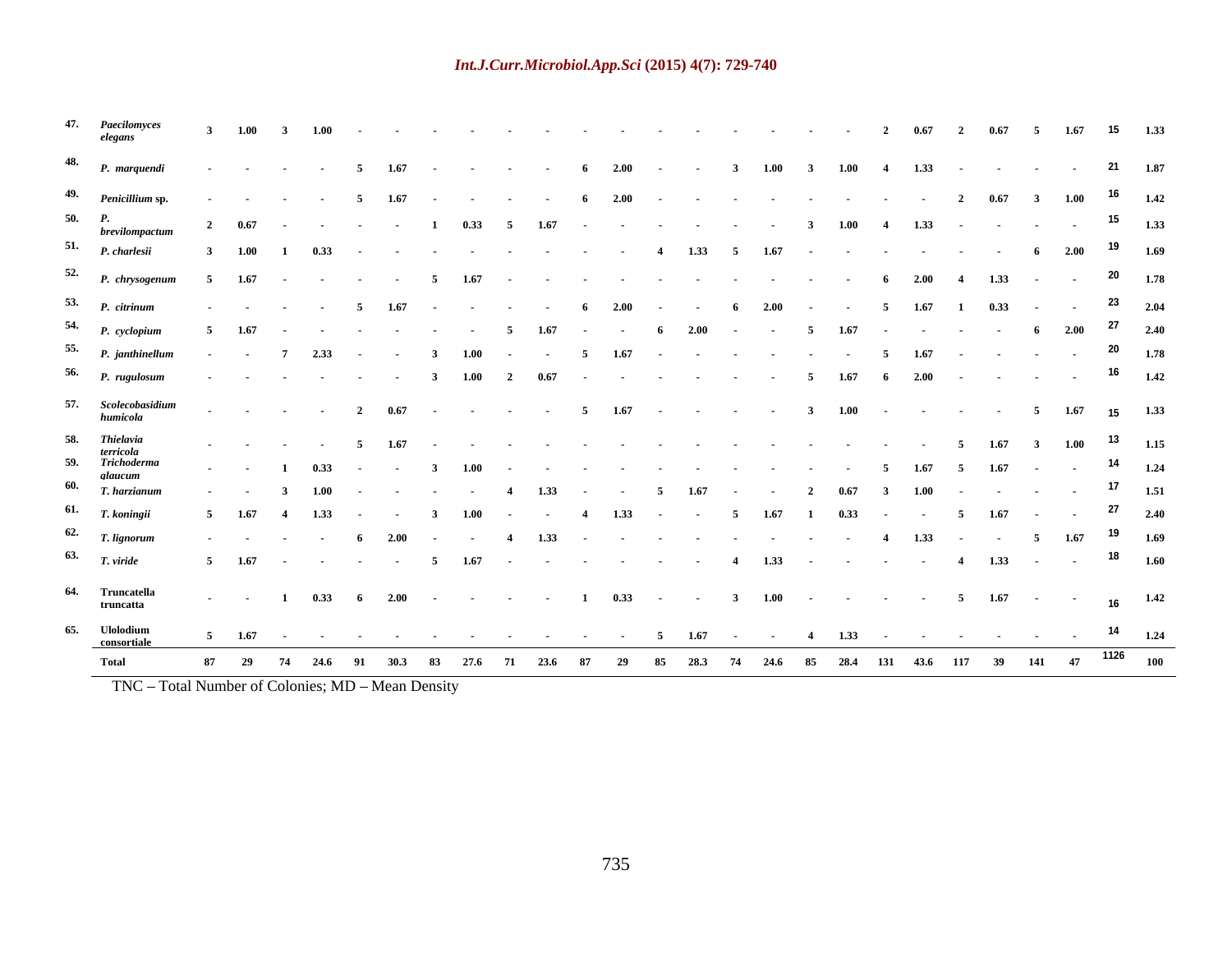|                                        | 47. Paecilomyces                                                                                                                                                                                 |  |  |  |  |  |  |  |  |  |  |  |  | 3 1.00 3 1.00 cm $\cdot$ 2 0.67 2 0.67 5 1.67 15 1.33                                                                                                                                                                                                                                                                 |  |
|----------------------------------------|--------------------------------------------------------------------------------------------------------------------------------------------------------------------------------------------------|--|--|--|--|--|--|--|--|--|--|--|--|-----------------------------------------------------------------------------------------------------------------------------------------------------------------------------------------------------------------------------------------------------------------------------------------------------------------------|--|
|                                        | 48. P. marquendi                                                                                                                                                                                 |  |  |  |  |  |  |  |  |  |  |  |  |                                                                                                                                                                                                                                                                                                                       |  |
|                                        | 49. Penicillium sp. 5 1.67 6 2.00 2 0.67 3 1.00 <sup>16</sup> 1.42                                                                                                                               |  |  |  |  |  |  |  |  |  |  |  |  |                                                                                                                                                                                                                                                                                                                       |  |
|                                        | 50. P.<br>hrevilomnactum 2 0.67 - - - - 1 0.33 5 1.67 - - - - - - - 3 1.00 4 1.33 - - - - - <sup>15</sup> 1.33                                                                                   |  |  |  |  |  |  |  |  |  |  |  |  |                                                                                                                                                                                                                                                                                                                       |  |
|                                        | 51. <i>P. charlesii</i> 3 1.00 1 0.33 <b>·</b> · · · · · · · · 4 1.33 5 1.67 <b>·</b> · · · · · · · 6 2.00 <sup>19</sup> 1.69                                                                    |  |  |  |  |  |  |  |  |  |  |  |  |                                                                                                                                                                                                                                                                                                                       |  |
|                                        | 52. <i>P. chrysogenum</i> 5 1.67 - - - 5 1.67 - - - - - - - - - - - - - - - 6 2.00 4 1.33 - - <sup>20</sup> 1.78<br>53. <i>P. citrinum</i> 5 1.67 6 2.00 6 2.00 5 1.67 1 0.33 <sup>23</sup> 2.04 |  |  |  |  |  |  |  |  |  |  |  |  |                                                                                                                                                                                                                                                                                                                       |  |
|                                        | 54. <i>P. cyclopium</i> 5 1.67 - - - - - - 5 1.67 - - 6 2.00 - - - 5 1.67 - - - - - 6 2.00 <sup>27</sup> 2.40                                                                                    |  |  |  |  |  |  |  |  |  |  |  |  |                                                                                                                                                                                                                                                                                                                       |  |
|                                        | 55. <i>P.</i> janthinellum - - 7 2.33 - - 3 1.00 - - 5 1.67 - - - - - - - 5 1.67 - - - - - <sup>20</sup> 1.78                                                                                    |  |  |  |  |  |  |  |  |  |  |  |  |                                                                                                                                                                                                                                                                                                                       |  |
|                                        | 56. <i>P. rugulosum</i> - - - - - - 3 1.00 2 0.67 - - - - - - - 5 1.67 6 2.00 - - - - - <sup>- 16</sup> 1.42                                                                                     |  |  |  |  |  |  |  |  |  |  |  |  |                                                                                                                                                                                                                                                                                                                       |  |
|                                        | 57. Scolecobasidium<br>humicola                                                                                                                                                                  |  |  |  |  |  |  |  |  |  |  |  |  | $\frac{1}{2}$ 2 0.67 5 1.67 3 1.00 5 1.67 15 1.33                                                                                                                                                                                                                                                                     |  |
| 58. Thielavia                          |                                                                                                                                                                                                  |  |  |  |  |  |  |  |  |  |  |  |  | $\frac{1}{2}$ . $\frac{1}{2}$ . $\frac{1}{2}$ . $\frac{1}{2}$ . $\frac{1}{2}$ . $\frac{1}{2}$ . $\frac{1}{2}$ . $\frac{1}{2}$ . $\frac{1}{2}$ . $\frac{1}{2}$ . $\frac{1}{2}$ . $\frac{1}{2}$ . $\frac{1}{2}$ . $\frac{1}{2}$ . $\frac{1}{2}$ . $\frac{1}{2}$ . $\frac{1}{2}$ . $\frac{1}{2}$ . $\frac{1$             |  |
|                                        | terricola<br>59. Trichoderma                                                                                                                                                                     |  |  |  |  |  |  |  |  |  |  |  |  | $\frac{1}{2}$ 1 0.33 $\frac{3}{2}$ 3 1.00 $\frac{1}{2}$ $\frac{1}{2}$ $\frac{1}{2}$ $\frac{1}{2}$ $\frac{1}{2}$ $\frac{1}{2}$ $\frac{1}{2}$ $\frac{1}{2}$ $\frac{1}{2}$ $\frac{1}{2}$ $\frac{1}{2}$ $\frac{1}{2}$ $\frac{1}{2}$ $\frac{1}{2}$ $\frac{1}{2}$ $\frac{1}{2}$ $\frac{1}{2}$ $\frac{1}{2}$ $\frac{1}{2$    |  |
|                                        | $60.$ $\frac{E}{T}$ , harzianum                                                                                                                                                                  |  |  |  |  |  |  |  |  |  |  |  |  | $\frac{1}{2}$ 3 1.00 $\frac{1}{2}$ $\frac{1}{2}$ $\frac{1}{2}$ $\frac{1}{2}$ $\frac{1}{2}$ $\frac{1}{2}$ $\frac{1}{2}$ $\frac{1}{2}$ $\frac{1}{2}$ $\frac{1}{2}$ $\frac{1}{2}$ $\frac{1}{2}$ $\frac{1}{2}$ $\frac{1}{2}$ $\frac{1}{2}$ $\frac{1}{2}$ $\frac{1}{2}$ $\frac{1}{2}$ $\frac{1}{2}$ $\frac{1}{2}$ $\frac{$ |  |
| $61.$ T. koningii<br>$62.$ T. lignorum |                                                                                                                                                                                                  |  |  |  |  |  |  |  |  |  |  |  |  | $5 \t 1.67 \t 4 \t 1.33 \t - \t 3 \t 1.00 \t - \t 4 \t 1.33 \t - \t 5 \t 1.67 \t 1 \t 0.33 \t - \t 5 \t 1.67 \t - \t 3 \t 2.40$<br>$\frac{1}{2}$ 4 1.33 4 1.33 5 1.67 <sup>19</sup> 1.69                                                                                                                              |  |
| $63.$ T. viride                        |                                                                                                                                                                                                  |  |  |  |  |  |  |  |  |  |  |  |  | 5 1.67 - - - - 5 1.67 - - - - - - - 4 1.33 - - - - - - 4 1.33 - - <sup>18</sup> 1.60                                                                                                                                                                                                                                  |  |
|                                        |                                                                                                                                                                                                  |  |  |  |  |  |  |  |  |  |  |  |  |                                                                                                                                                                                                                                                                                                                       |  |
| 64. Truncatella<br>truncatta           |                                                                                                                                                                                                  |  |  |  |  |  |  |  |  |  |  |  |  | $\cdot$ $\cdot$ 1 0.33 6 2.00 $\cdot$ $\cdot$ $\cdot$ 1 0.33 $\cdot$ $\cdot$ 3 1.00 $\cdot$ $\cdot$ $\cdot$ $\cdot$ 5 1.67 $\cdot$ $\cdot$ $\cdot$ $\cdot$ $\cdot$ 1.42                                                                                                                                               |  |
| 65. Ulolodium                          |                                                                                                                                                                                                  |  |  |  |  |  |  |  |  |  |  |  |  | 5 1.67 and $\frac{14}{1.24}$ 1.67 and $\frac{5}{1.67}$ 1.67 and $\frac{14}{1.24}$ 1.73 and $\frac{14}{1.24}$ 1.24                                                                                                                                                                                                     |  |
| <b>Total</b>                           |                                                                                                                                                                                                  |  |  |  |  |  |  |  |  |  |  |  |  | .<br>87 29 74 24.6 91 30.3 83 27.6 71 23.6 87 29 85 28.3 74 24.6 85 28.4 131 43.6 117 39 141 47 <sup>1126</sup> 100                                                                                                                                                                                                   |  |

TNC - Total Number of Colonies; MD - Mean Density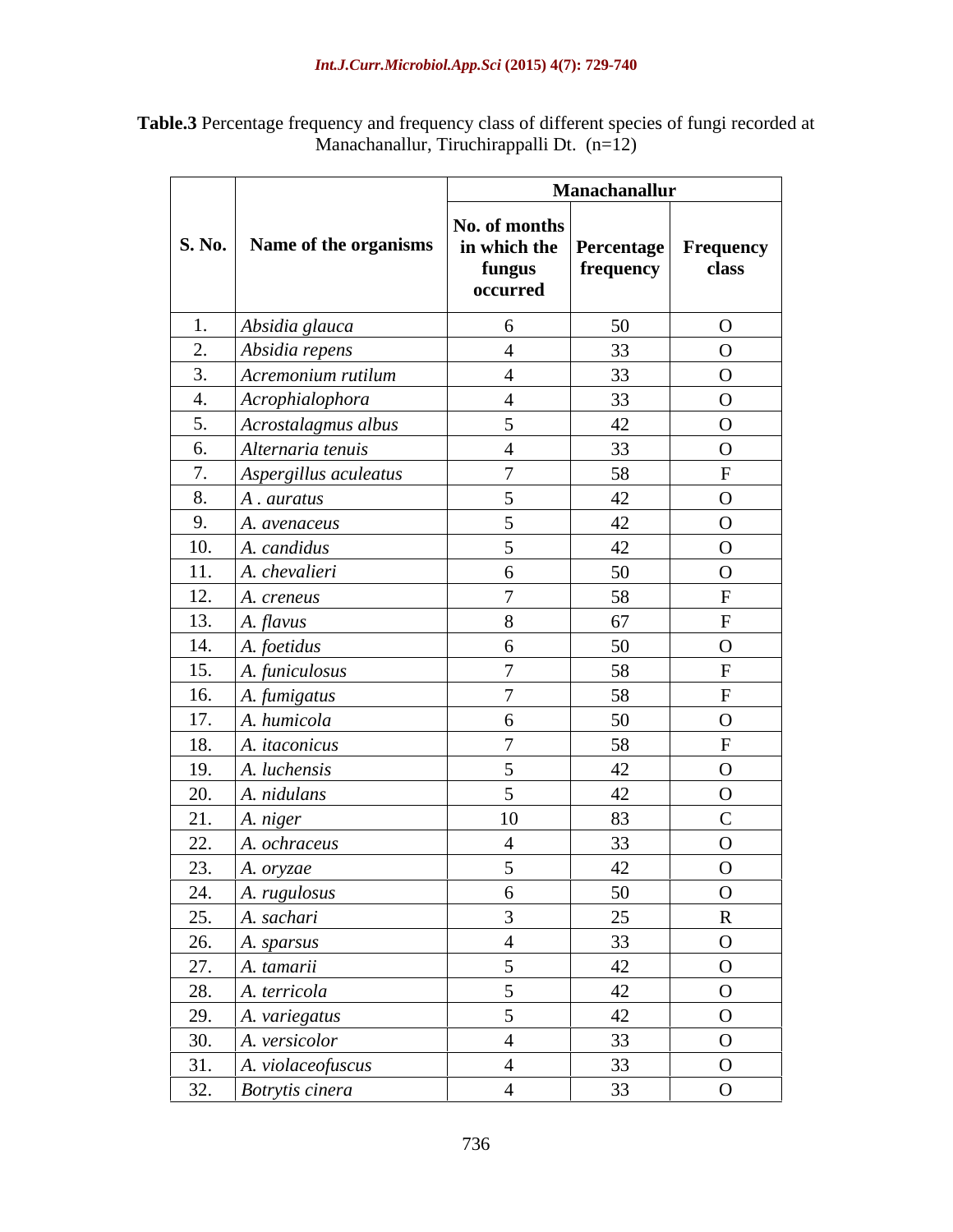| Table.3 P<br>e frequency and frequency class of different species of fungi recorded at<br>ercentage |  |
|-----------------------------------------------------------------------------------------------------|--|
| Tiruchirappalli Dt.<br>Manachanallur,<br>$n=12$                                                     |  |

|     |                                                                                                                                                                                                                        |                                                                                  | Manachanallur |                   |
|-----|------------------------------------------------------------------------------------------------------------------------------------------------------------------------------------------------------------------------|----------------------------------------------------------------------------------|---------------|-------------------|
|     | S. No.   Name of the organisms                                                                                                                                                                                         | No. of months<br>in which the $ $ Percentage $ $ Frequency<br>fungus<br>occurred | frequency     | class             |
| 1.  | Absidia glauca                                                                                                                                                                                                         |                                                                                  | 50            | $\overline{O}$    |
| 2.  | Absidia repens                                                                                                                                                                                                         |                                                                                  | 33            | $\mathbf{O}$      |
| 3.  | Acremonium rutilum                                                                                                                                                                                                     |                                                                                  | 33            | $\mathbf{O}$      |
| 4.  | Acrophialophora                                                                                                                                                                                                        |                                                                                  | 33            | $\mathbf{O}$      |
| 5.  | Acrostalagmus albus                                                                                                                                                                                                    |                                                                                  | 42            | $\overline{O}$    |
| 6.  | Alternaria tenuis                                                                                                                                                                                                      |                                                                                  | 33            | $\overline{O}$    |
| 7.  | Aspergillus aculeatus                                                                                                                                                                                                  |                                                                                  | 58            |                   |
| 8.  | $A.$ auratus                                                                                                                                                                                                           | $\sim$                                                                           | 42            | $\overline{O}$    |
| 9.  | A. avenaceus                                                                                                                                                                                                           |                                                                                  | 42            | $\mathbf{O}$      |
| 10. | $A.$ candidus                                                                                                                                                                                                          |                                                                                  | 42            | $\mathbf{O}$      |
| 11. | A. chevalieri                                                                                                                                                                                                          |                                                                                  | 50            | $\mathbf{O}$      |
| 12. | A. creneus                                                                                                                                                                                                             | $\sqrt{ }$                                                                       | 58            | $\mathbf{\Gamma}$ |
| 13. | A. flavus                                                                                                                                                                                                              |                                                                                  | 67            |                   |
| 14. | A. foetidus                                                                                                                                                                                                            |                                                                                  | 50            | $\overline{O}$    |
| 15. | A. funiculosus                                                                                                                                                                                                         | $\overline{ }$                                                                   | 58            |                   |
| 16. | A. fumigatus                                                                                                                                                                                                           | $\mathbf{z}$                                                                     | 58            |                   |
| 17. | A. humicola                                                                                                                                                                                                            |                                                                                  | 50            | $\mathbf{O}$      |
| 18. | A. <i>itaconicus</i>                                                                                                                                                                                                   | $\overline{ }$                                                                   | 58            |                   |
| 19. | A. luchensis                                                                                                                                                                                                           |                                                                                  | 42            | $\overline{O}$    |
| 20. | A. nidulans                                                                                                                                                                                                            |                                                                                  | 42            | $\overline{O}$    |
| 21. | A. niger                                                                                                                                                                                                               | 10                                                                               | 83            | $\mathcal{C}$     |
| 22. | A. ochraceus                                                                                                                                                                                                           |                                                                                  | 33            | $\mathbf{O}$      |
| 23. | A. oryzae                                                                                                                                                                                                              |                                                                                  | 42            | $\Omega$          |
|     |                                                                                                                                                                                                                        |                                                                                  | 50            | $\mathbf{O}$      |
|     |                                                                                                                                                                                                                        |                                                                                  | 25            | $\mathbf R$       |
|     |                                                                                                                                                                                                                        |                                                                                  | 33            | $\overline{O}$    |
|     |                                                                                                                                                                                                                        |                                                                                  | 42            | $\mathbf{O}$      |
|     |                                                                                                                                                                                                                        |                                                                                  | 42            | $\overline{O}$    |
|     |                                                                                                                                                                                                                        | 5                                                                                | 42            | $\mathbf{O}$      |
|     |                                                                                                                                                                                                                        |                                                                                  | 33            | $\overline{O}$    |
|     | A. <i>violaceofuscus</i>                                                                                                                                                                                               |                                                                                  | 33            | $\overline{O}$    |
|     | 23. A. oryzae<br>24. A. rugulosus<br>25. A. sachari<br>26. A. sparsus<br>27. A. tamarii<br>28. A. terricola<br>29. A. variegatus<br>30. A. versicolor<br>31. A. violaceofus<br>32. Botrytis cineral<br>Botrytis cinera |                                                                                  | 33            | $\overline{O}$    |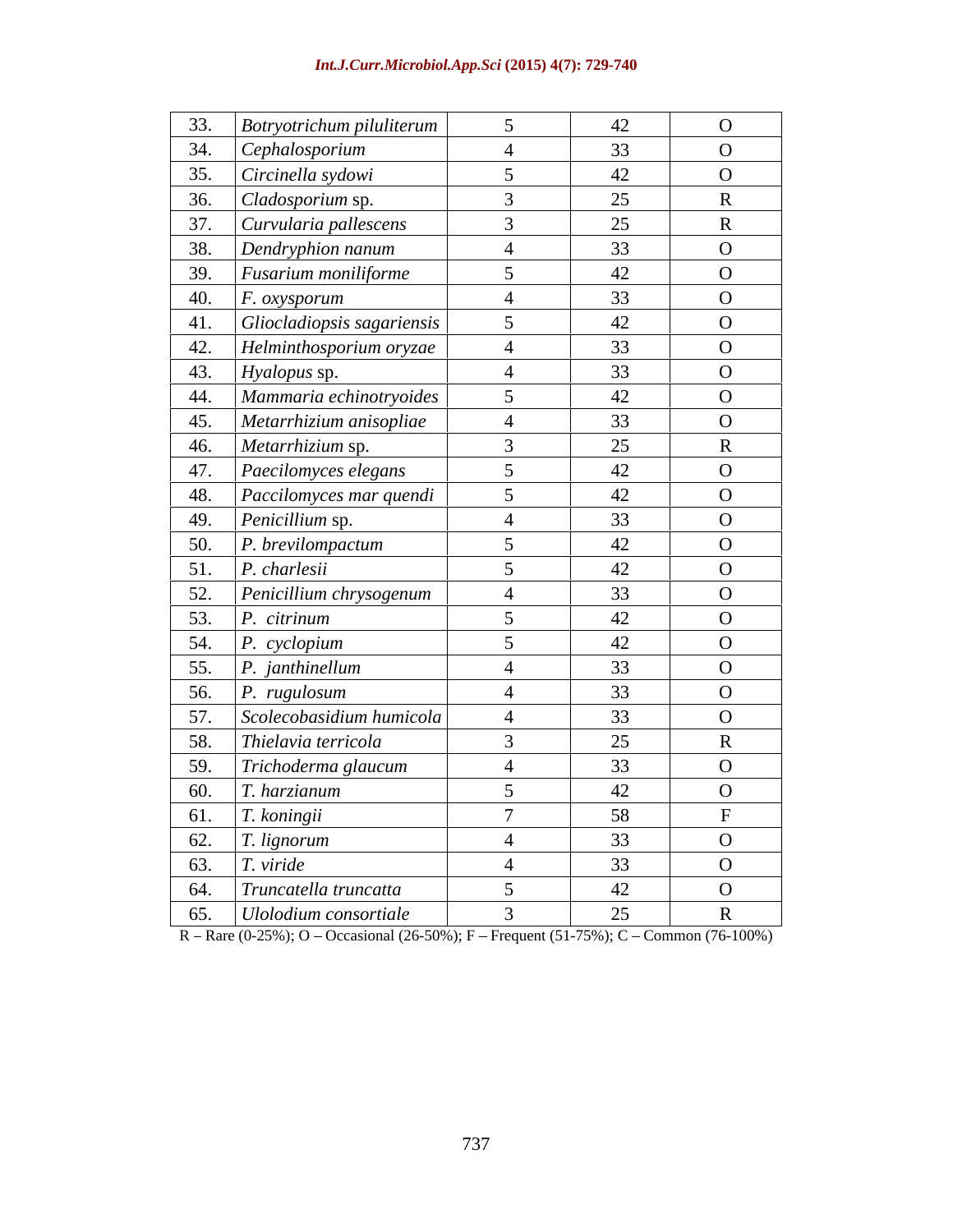| Int.J.Curr.Microbiol.App.Sci (2015) 4(7): 729-740 |  |
|---------------------------------------------------|--|
|                                                   |  |

| 33.                            | <b>Botryotrichum piluliterum</b>           | 42 | $\overline{O}$                |
|--------------------------------|--------------------------------------------|----|-------------------------------|
| 34.                            | Cephalosporium                             | 33 | $\overline{O}$                |
| 35.                            | Circinella sydowi                          | 42 | $\overline{O}$                |
| 36.                            | Cladosporium sp.                           | 25 | $\mathbf R$                   |
| 37.                            |                                            | 25 |                               |
| 38.                            | Curvularia pallescens<br>Dendryphion nanum | 33 | $\mathbf R$<br>$\overline{O}$ |
| 39.                            | <i>Fusarium moniliforme</i>                | 42 | $\overline{O}$                |
| 40.                            |                                            | 33 | $\overline{O}$                |
| 41.                            | $F.$ $oxygenorum$                          | 42 | $\overline{O}$                |
|                                | Gliocladiopsis sagariensis                 | 33 |                               |
| 42.                            | Helminthosporium oryzae                    |    | $\overline{O}$                |
| 43.                            | Hyalopus sp.                               | 33 | $\overline{O}$                |
| 44.                            | Mammaria echinotryoides                    | 42 | $\mathbf{O}$                  |
| 45.                            | Metarrhizium anisopliae                    | 33 | $\overline{O}$                |
| 46.                            | Metarrhizium sp.                           | 25 | $\mathbf R$                   |
| 47.                            | Paecilomyces elegans                       | 42 | $\overline{O}$                |
| 48.                            | Paccilomyces mar quendi                    | 42 | $\overline{O}$                |
| 49.                            | Penicillium sp.                            | 33 | $\overline{O}$                |
| 50.                            | $P.$ brevilompactum                        | 42 | $\overline{O}$                |
| 51.                            | $P.$ charlesii                             | 42 | $\overline{O}$                |
| 52.                            | Penicillium chrysogenum                    | 33 | $\overline{O}$                |
| 53.                            | P. citrinum                                | 42 | $\overline{O}$                |
| 54.                            | P. cyclopium                               | 42 | $\mathbf{O}$                  |
| 55.                            | $P.$ janthinellum                          | 33 | $\overline{O}$                |
| 56.                            | P. rugulosum                               | 33 | $\overline{O}$                |
| 57.                            | Scolecobasidium humicola                   | 33 | $\overline{O}$                |
| 58.                            | Thielavia terricola                        | 25 | $\mathbf{R}$                  |
| 59.                            | Trichoderma glaucum                        | 33 | $\overline{O}$                |
| 60.                            | T. harzianum                               | 42 | $\overline{O}$                |
|                                | T. koningii                                | 58 |                               |
| $rac{61}{62}$<br>$rac{62}{63}$ | T. lignorum                                | 33 | $\overline{O}$                |
|                                | $T.$ viride                                | 33 | $\mathbf{O}$                  |
| $\frac{64.}{65.}$              | Truncatella truncatta                      | 42 | $\overline{O}$                |
|                                | Ulolodium consortiale                      | 25 | $\mathbf R$                   |

R - Rare (0-25%); O - Occasional (26-50%); F - Frequent (51-75%); C - Common (76-100%)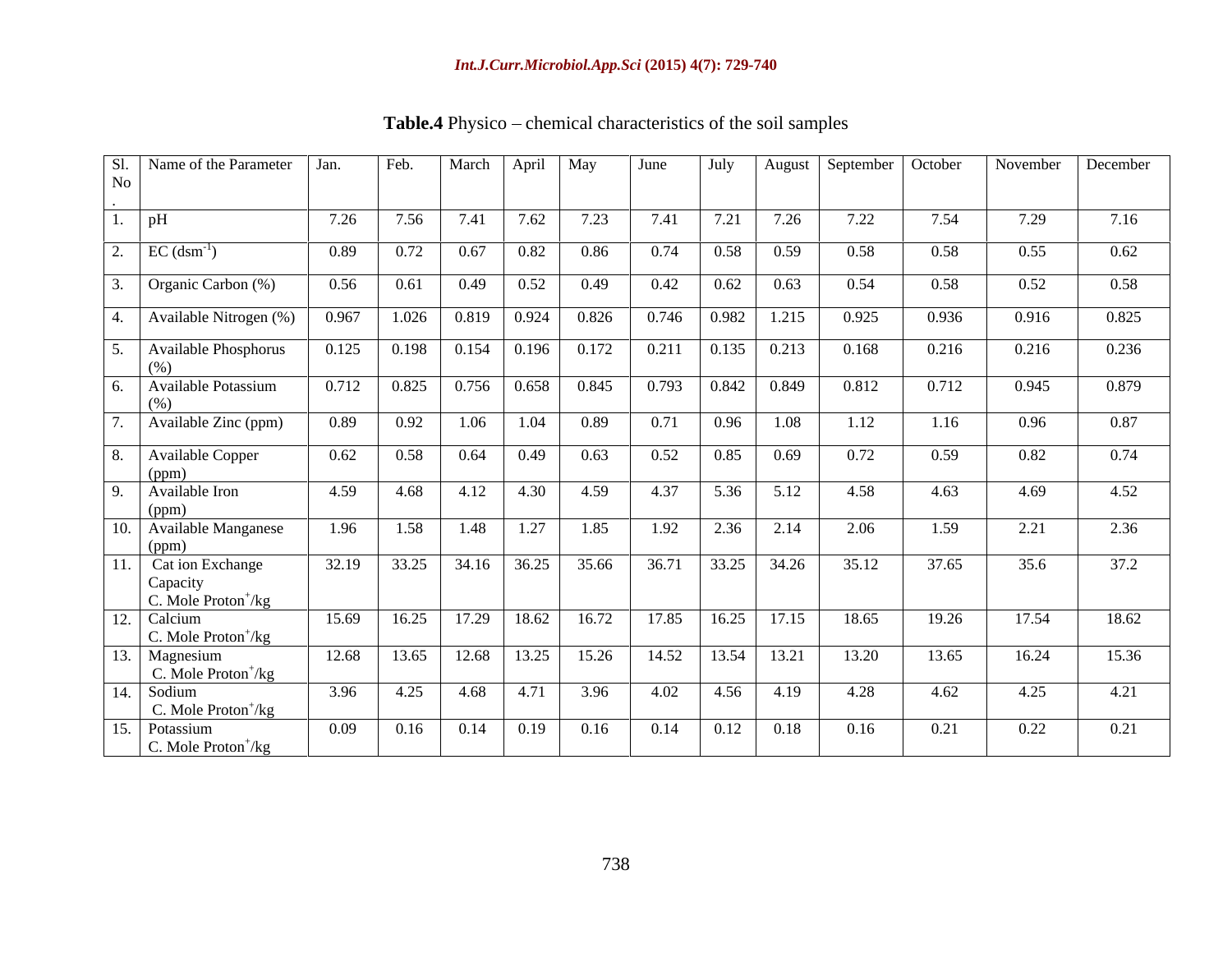| No | Sl.   Name of the Parameter   Jan.                              |       | Feb.  |                     | March   April   May                                           |                           | June  | July                    | August        | September   October |       | November | December |
|----|-----------------------------------------------------------------|-------|-------|---------------------|---------------------------------------------------------------|---------------------------|-------|-------------------------|---------------|---------------------|-------|----------|----------|
|    | pH                                                              | 7.26  | 7.56  | 7.41                | 7.62                                                          | 7.23                      | 7.41  | 7.21                    | 7.26          | 7.22                | 7.54  | 7.29     | 7.16     |
|    | $EC$ (dsm <sup>-1</sup> )                                       | 0.89  | 0.72  | 0.67                | 0.82                                                          | 0.86                      | 0.74  | 0.58                    | 0.59          | 0.58                | 0.58  | 0.55     | 0.62     |
|    | Organic Carbon (%)                                              | 0.56  | 0.61  | 0.49                | 0.52                                                          | 0.49                      | 0.42  | 0.62                    | 0.63          | 0.54                | 0.58  | 0.52     | 0.58     |
|    | Available Nitrogen (%)                                          | 0.967 |       | $1.026$ 0.819 0.924 |                                                               | 0.826                     | 0.746 | 0.982                   | 1.215         | 0.925               | 0.936 | 0.916    | 0.825    |
|    | Available Phosphorus<br>(% )                                    | 0.125 |       |                     |                                                               | $0.198$ 0.154 0.196 0.172 | 0.211 |                         | $0.135$ 0.213 | 0.168               | 0.216 | 0.216    | 0.236    |
|    | <b>Available Potassium</b><br>(96)                              | 0.712 |       | $0.825$ 0.756 0.658 |                                                               | 0.845                     |       | $0.793$ $0.842$ $0.849$ |               | 0.812               | 0.712 | 0.945    | 0.879    |
|    | Available Zinc (ppm)                                            | 0.89  | 0.92  | 1.06                | 1.04                                                          | 0.89                      | 0.71  | 0.96                    | 1.08          | 1.12                | 1.16  | 0.96     | 0.87     |
|    | Available Copper                                                | 0.62  | 0.58  | 0.64                | 0.49                                                          | 0.63                      | 0.52  | 0.85                    | 0.69          | 0.72                | 0.59  | 0.82     | 0.74     |
|    | (ppm)<br>Available Iron                                         | 4.59  | 4.68  |                     | $4.12 \quad 4.30$                                             | 4.59                      | 4.37  | 5.36                    | 5.12          | 4.58                | 4.63  | 4.69     | 4.52     |
|    | (ppm)<br>10. Available Manganese                                | 1.96  | 1.58  | 1.48                | 1.27                                                          | 1.85                      | 1.92  | 2.36                    | 2.14          | 2.06                | 1.59  | 2.21     | 2.36     |
|    | (ppm)                                                           |       |       |                     |                                                               |                           |       |                         |               |                     |       |          |          |
|    | . Cat ion Exchange<br>Capacity<br>C. Mole $Proton^+/kg$         | 32.19 | 33.25 |                     | $34.16$ $36.25$                                               | 35.66                     | 36.71 | 33.25                   | 34.26         | 35.12               | 37.65 | 35.6     | 37.2     |
|    | 12. Calcium<br>C. Mole $Proton^+/kg$                            | 15.69 | 16.25 |                     | 17.29 18.62                                                   | 16.72                     | 17.85 | 16.25                   | 17.15         | 18.65               | 19.26 | 17.54    | 18.62    |
|    | 13. Magnesium                                                   | 12.68 | 13.65 |                     | 12.68 13.25                                                   | 15.26                     | 14.52 |                         | 13.54 13.21   | 13.20               | 13.65 | 16.24    | 15.36    |
|    | C. Mole $Proton^+/kg$<br>14. Sodium                             | 3.96  | 4.25  | 4.68                | 4.71                                                          | 3.96                      | 4.02  | 4.56                    | 4.19          | 4.28                | 4.62  | 4.25     | 4.21     |
|    | C. Mole $Proton^+/kg$<br>15. Potassium<br>C. Mole $Proton^+/kg$ | 0.09  | 0.16  | 0.14                | $\begin{array}{ c c c c c } \hline 0.19 & \hline \end{array}$ | 0.16                      | 0.14  | 0.12                    | 0.18          | 0.16                | 0.21  | 0.22     | 0.21     |

Table.4 Physico - chemical characteristics of the soil samples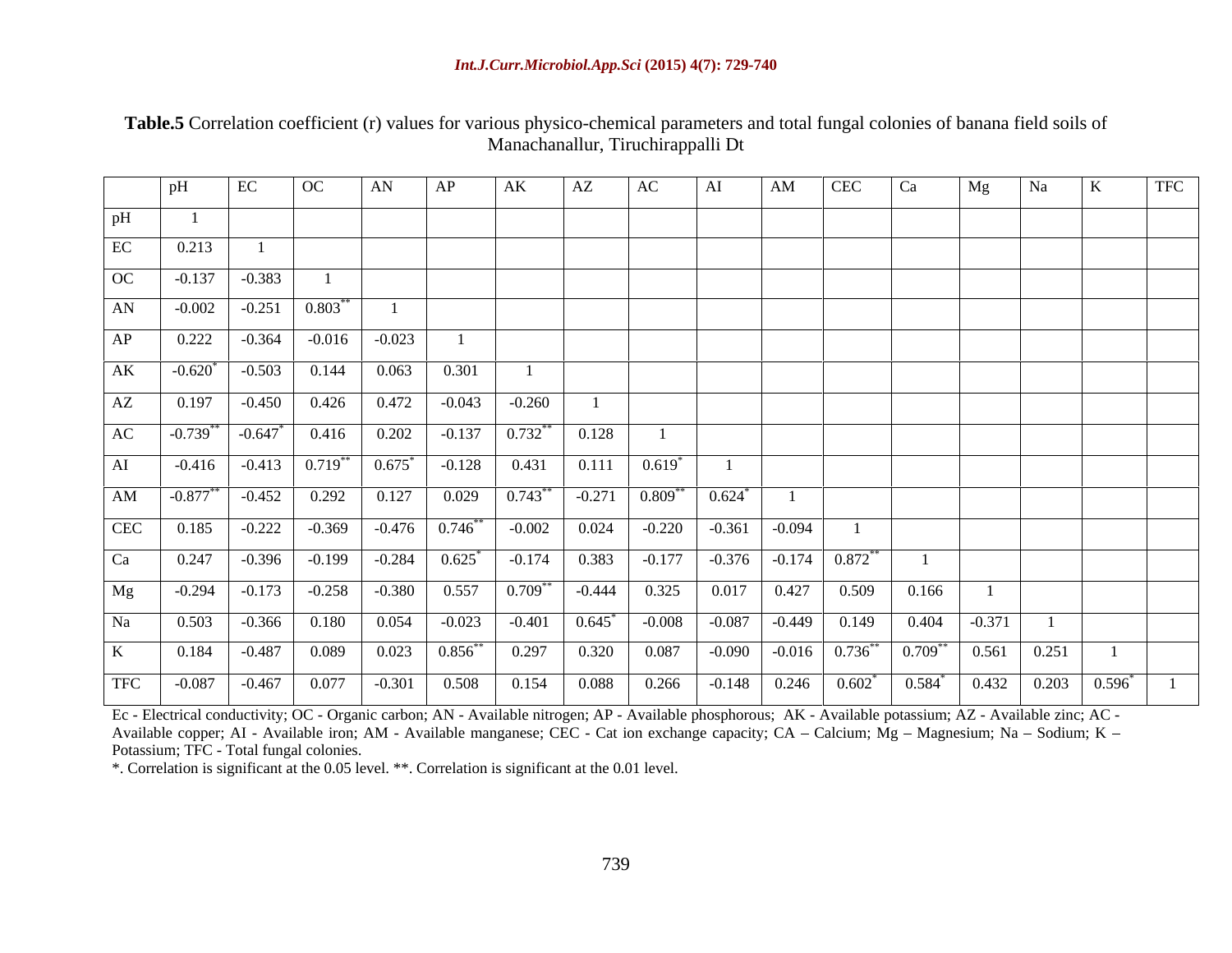### *Int.J.Curr.Microbiol.App.Sci* **(2015) 4(7): 729-740**

**Table.5** Correlation coefficient (r) values for various physico-chemical parameters and total fungal colonies of banana field soils of Manachanallur, Tiruchirappalli Dt

|    | EC                                                                                                                  | $\overline{OC}$ | AN | AP | AK | AZ |  | AM | $ $ CEC | I Ca | Mg |  | TFC |
|----|---------------------------------------------------------------------------------------------------------------------|-----------------|----|----|----|----|--|----|---------|------|----|--|-----|
|    |                                                                                                                     |                 |    |    |    |    |  |    |         |      |    |  |     |
| EC | 0.213                                                                                                               |                 |    |    |    |    |  |    |         |      |    |  |     |
|    | $OC \t -0.137 \t -0.383$                                                                                            |                 |    |    |    |    |  |    |         |      |    |  |     |
| AN | $-0.002$ $-0.251$ $0.803$ <sup>**</sup>                                                                             |                 |    |    |    |    |  |    |         |      |    |  |     |
|    | AP 0.222 -0.364 -0.016 -0.023                                                                                       |                 |    |    |    |    |  |    |         |      |    |  |     |
|    | $\overline{\text{AK}}$ $-0.620^*$ $-0.503$ $0.144$ $0.063$ $0.301$                                                  |                 |    |    |    |    |  |    |         |      |    |  |     |
| AZ |                                                                                                                     |                 |    |    |    |    |  |    |         |      |    |  |     |
|    | $AC \qquad 0.739^{**} \qquad 0.647^{*} \qquad 0.416 \qquad 0.202 \qquad 0.137 \qquad 0.732^{**} \qquad 0.128$       |                 |    |    |    |    |  |    |         |      |    |  |     |
|    | $\boxed{\text{AI}}$ $-0.416$ $-0.413$ $0.719^{**}$ $0.675^{*}$ $-0.128$ $0.431$ $0.111$ $0.619^{*}$                 |                 |    |    |    |    |  |    |         |      |    |  |     |
|    | $\boxed{\text{AM}}$ $-0.877^{**}$ $-0.452$ $0.292$ $0.127$ $0.029$ $0.743^{**}$ $-0.271$ $0.809^{**}$ $0.624^{*}$ 1 |                 |    |    |    |    |  |    |         |      |    |  |     |
|    |                                                                                                                     |                 |    |    |    |    |  |    |         |      |    |  |     |
|    |                                                                                                                     |                 |    |    |    |    |  |    |         |      |    |  |     |
|    | Mg $-0.294$ $-0.173$ $-0.258$ $-0.380$ $0.557$ $0.709**$ $-0.444$ $0.325$ $0.017$ $0.427$ $0.509$ $0.166$           |                 |    |    |    |    |  |    |         |      |    |  |     |
|    | Na 0.503 -0.366 0.180 0.054 -0.023 -0.401 0.645 <sup>*</sup> -0.008 -0.087 -0.449 0.149 0.404 -0.371 1              |                 |    |    |    |    |  |    |         |      |    |  |     |
|    |                                                                                                                     |                 |    |    |    |    |  |    |         |      |    |  |     |
|    |                                                                                                                     |                 |    |    |    |    |  |    |         |      |    |  |     |

Ec - Electrical conductivity; OC - Organic carbon; AN - Available nitrogen; AP - Available phosphorous; AK - Available potassium; AZ - Available zinc; AC -Available copper; AI - Available iron; AM - Available manganese; CEC - Cat ion exchange capacity; CA – Calcium; Mg – Magnesium; Na – Sodium; K – Potassium; TFC - Total fungal colonies.

\*. Correlation is significant at the 0.05 level. \*\*. Correlation is significant at the 0.01 level.